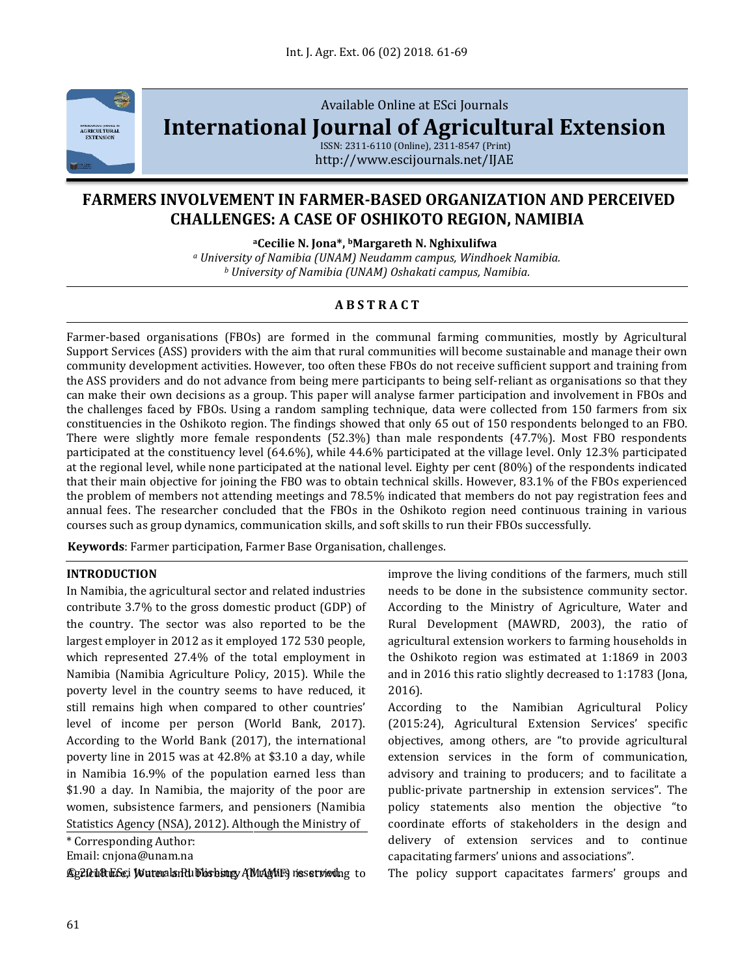

Available Online at ESci Journals

**[International Journal of Agricultural Extension](http://www.escijournals.net/IJER)**

ISSN: 2311-6110 (Online), 2311-8547 (Print) http://www.escijournals.net/IJAE

# **FARMERS INVOLVEMENT IN FARMER-BASED ORGANIZATION AND PERCEIVED CHALLENGES: A CASE OF OSHIKOTO REGION, NAMIBIA**

**<sup>a</sup>Cecilie N. Jona\*, <sup>b</sup>Margareth N. Nghixulifwa**

*<sup>a</sup> University of Namibia (UNAM) Neudamm campus, Windhoek Namibia. <sup>b</sup> University of Namibia (UNAM) Oshakati campus, Namibia.*

# **A B S T R A C T**

Farmer-based organisations (FBOs) are formed in the communal farming communities, mostly by Agricultural Support Services (ASS) providers with the aim that rural communities will become sustainable and manage their own community development activities. However, too often these FBOs do not receive sufficient support and training from the ASS providers and do not advance from being mere participants to being self-reliant as organisations so that they can make their own decisions as a group. This paper will analyse farmer participation and involvement in FBOs and the challenges faced by FBOs. Using a random sampling technique, data were collected from 150 farmers from six constituencies in the Oshikoto region. The findings showed that only 65 out of 150 respondents belonged to an FBO. There were slightly more female respondents (52.3%) than male respondents (47.7%). Most FBO respondents participated at the constituency level (64.6%), while 44.6% participated at the village level. Only 12.3% participated at the regional level, while none participated at the national level. Eighty per cent (80%) of the respondents indicated that their main objective for joining the FBO was to obtain technical skills. However, 83.1% of the FBOs experienced the problem of members not attending meetings and 78.5% indicated that members do not pay registration fees and annual fees. The researcher concluded that the FBOs in the Oshikoto region need continuous training in various courses such as group dynamics, communication skills, and soft skills to run their FBOs successfully.

**Keywords**: Farmer participation, Farmer Base Organisation, challenges.

### **INTRODUCTION**

In Namibia, the agricultural sector and related industries contribute 3.7% to the gross domestic product (GDP) of the country. The sector was also reported to be the largest employer in 2012 as it employed 172 530 people, which represented 27.4% of the total employment in Namibia (Namibia Agriculture Policy, 2015). While the poverty level in the country seems to have reduced, it still remains high when compared to other countries' level of income per person (World Bank, 2017). According to the World Bank (2017), the international poverty line in 2015 was at 42.8% at \$3.10 a day, while in Namibia 16.9% of the population earned less than \$1.90 a day. In Namibia, the majority of the poor are women, subsistence farmers, and pensioners (Namibia Statistics Agency (NSA), 2012). Although the Ministry of

\* Corresponding Author:

Email: cnjona@unam.na

Ag20t10tuE6ci WateralsnR1ubbishingy AMmAghtE9 nesstrieding to

improve the living conditions of the farmers, much still needs to be done in the subsistence community sector. According to the Ministry of Agriculture, Water and Rural Development (MAWRD, 2003), the ratio of agricultural extension workers to farming households in the Oshikoto region was estimated at 1:1869 in 2003 and in 2016 this ratio slightly decreased to 1:1783 (Jona, 2016).

According to the Namibian Agricultural Policy (2015:24), Agricultural Extension Services' specific objectives, among others, are "to provide agricultural extension services in the form of communication, advisory and training to producers; and to facilitate a public-private partnership in extension services". The policy statements also mention the objective "to coordinate efforts of stakeholders in the design and delivery of extension services and to continue capacitating farmers' unions and associations".

The policy support capacitates farmers' groups and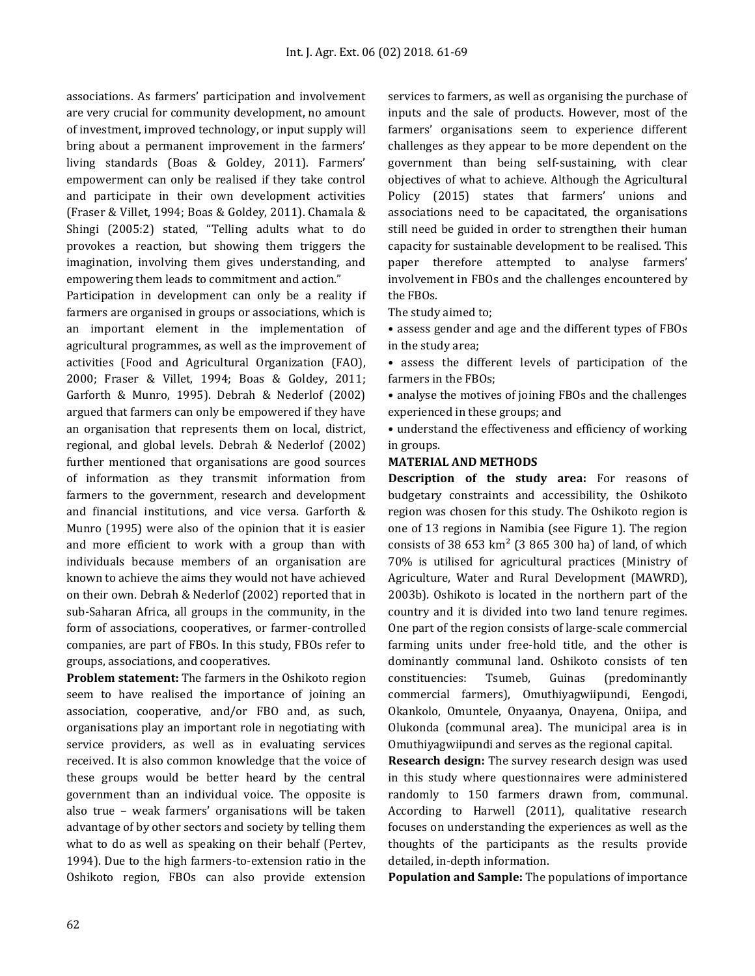associations. As farmers' participation and involvement are very crucial for community development, no amount of investment, improved technology, or input supply will bring about a permanent improvement in the farmers' living standards (Boas & Goldey, 2011). Farmers' empowerment can only be realised if they take control and participate in their own development activities (Fraser & Villet, 1994; Boas & Goldey, 2011). Chamala & Shingi (2005:2) stated, "Telling adults what to do provokes a reaction, but showing them triggers the imagination, involving them gives understanding, and empowering them leads to commitment and action."

Participation in development can only be a reality if farmers are organised in groups or associations, which is an important element in the implementation of agricultural programmes, as well as the improvement of activities (Food and Agricultural Organization (FAO), 2000; Fraser & Villet, 1994; Boas & Goldey, 2011; Garforth & Munro, 1995). Debrah & Nederlof (2002) argued that farmers can only be empowered if they have an organisation that represents them on local, district, regional, and global levels. Debrah & Nederlof (2002) further mentioned that organisations are good sources of information as they transmit information from farmers to the government, research and development and financial institutions, and vice versa. Garforth & Munro (1995) were also of the opinion that it is easier and more efficient to work with a group than with individuals because members of an organisation are known to achieve the aims they would not have achieved on their own. Debrah & Nederlof (2002) reported that in sub-Saharan Africa, all groups in the community, in the form of associations, cooperatives, or farmer-controlled companies, are part of FBOs. In this study, FBOs refer to groups, associations, and cooperatives.

**Problem statement:** The farmers in the Oshikoto region seem to have realised the importance of joining an association, cooperative, and/or FBO and, as such, organisations play an important role in negotiating with service providers, as well as in evaluating services received. It is also common knowledge that the voice of these groups would be better heard by the central government than an individual voice. The opposite is also true – weak farmers' organisations will be taken advantage of by other sectors and society by telling them what to do as well as speaking on their behalf (Pertev, 1994). Due to the high farmers-to-extension ratio in the Oshikoto region, FBOs can also provide extension

services to farmers, as well as organising the purchase of inputs and the sale of products. However, most of the farmers' organisations seem to experience different challenges as they appear to be more dependent on the government than being self-sustaining, with clear objectives of what to achieve. Although the Agricultural Policy (2015) states that farmers' unions and associations need to be capacitated, the organisations still need be guided in order to strengthen their human capacity for sustainable development to be realised. This paper therefore attempted to analyse farmers' involvement in FBOs and the challenges encountered by the FBOs.

The study aimed to;

• assess gender and age and the different types of FBOs in the study area;

• assess the different levels of participation of the farmers in the FBOs;

• analyse the motives of joining FBOs and the challenges experienced in these groups; and

• understand the effectiveness and efficiency of working in groups.

#### **MATERIAL AND METHODS**

**Description of the study area:** For reasons of budgetary constraints and accessibility, the Oshikoto region was chosen for this study. The Oshikoto region is one of 13 regions in Namibia (see Figure 1). The region consists of 38  $653 \text{ km}^2$  (3 865 300 ha) of land, of which 70% is utilised for agricultural practices (Ministry of Agriculture, Water and Rural Development (MAWRD), 2003b). Oshikoto is located in the northern part of the country and it is divided into two land tenure regimes. One part of the region consists of large-scale commercial farming units under free-hold title, and the other is dominantly communal land. Oshikoto consists of ten constituencies: Tsumeb, Guinas (predominantly commercial farmers), Omuthiyagwiipundi, Eengodi, Okankolo, Omuntele, Onyaanya, Onayena, Oniipa, and Olukonda (communal area). The municipal area is in Omuthiyagwiipundi and serves as the regional capital.

**Research design:** The survey research design was used in this study where questionnaires were administered randomly to 150 farmers drawn from, communal. According to Harwell (2011), qualitative research focuses on understanding the experiences as well as the thoughts of the participants as the results provide detailed, in-depth information.

**Population and Sample:** The populations of importance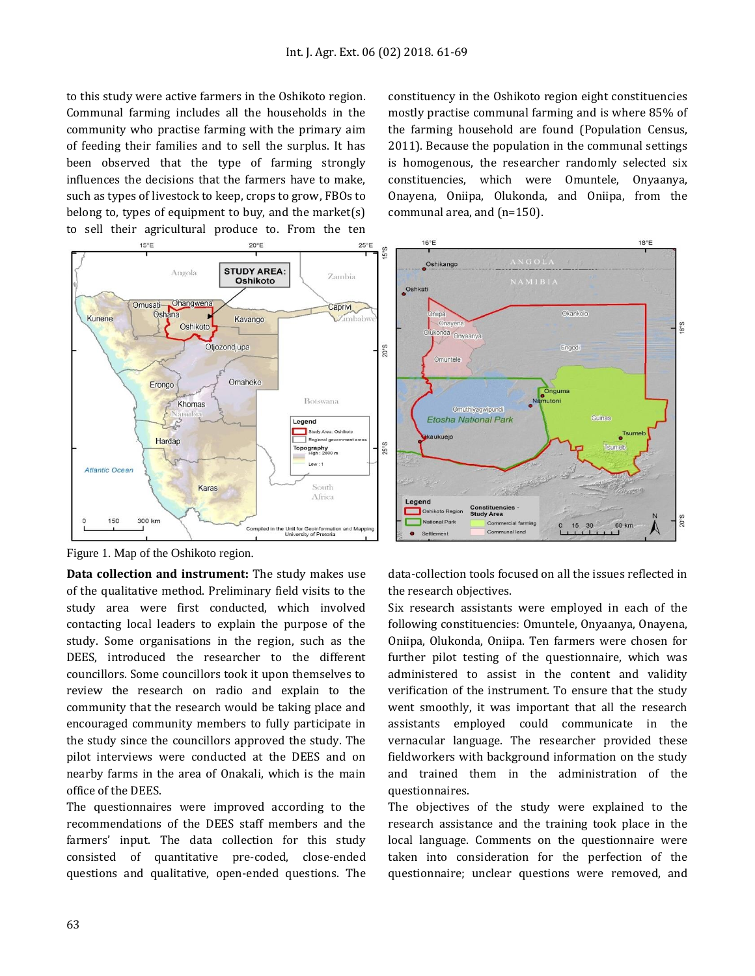to this study were active farmers in the Oshikoto region. Communal farming includes all the households in the community who practise farming with the primary aim of feeding their families and to sell the surplus. It has been observed that the type of farming strongly influences the decisions that the farmers have to make, such as types of livestock to keep, crops to grow, FBOs to belong to, types of equipment to buy, and the market(s) to sell their agricultural produce to. From the ten



Figure 1. Map of the Oshikoto region.

**Data collection and instrument:** The study makes use of the qualitative method. Preliminary field visits to the study area were first conducted, which involved contacting local leaders to explain the purpose of the study. Some organisations in the region, such as the DEES, introduced the researcher to the different councillors. Some councillors took it upon themselves to review the research on radio and explain to the community that the research would be taking place and encouraged community members to fully participate in the study since the councillors approved the study. The pilot interviews were conducted at the DEES and on nearby farms in the area of Onakali, which is the main office of the DEES.

The questionnaires were improved according to the recommendations of the DEES staff members and the farmers' input. The data collection for this study consisted of quantitative pre-coded, close-ended questions and qualitative, open-ended questions. The constituency in the Oshikoto region eight constituencies mostly practise communal farming and is where 85% of the farming household are found (Population Census, 2011). Because the population in the communal settings is homogenous, the researcher randomly selected six constituencies, which were Omuntele, Onyaanya, Onayena, Oniipa, Olukonda, and Oniipa, from the communal area, and (n=150).



data-collection tools focused on all the issues reflected in the research objectives.

Six research assistants were employed in each of the following constituencies: Omuntele, Onyaanya, Onayena, Oniipa, Olukonda, Oniipa. Ten farmers were chosen for further pilot testing of the questionnaire, which was administered to assist in the content and validity verification of the instrument. To ensure that the study went smoothly, it was important that all the research assistants employed could communicate in the vernacular language. The researcher provided these fieldworkers with background information on the study and trained them in the administration of the questionnaires.

The objectives of the study were explained to the research assistance and the training took place in the local language. Comments on the questionnaire were taken into consideration for the perfection of the questionnaire; unclear questions were removed, and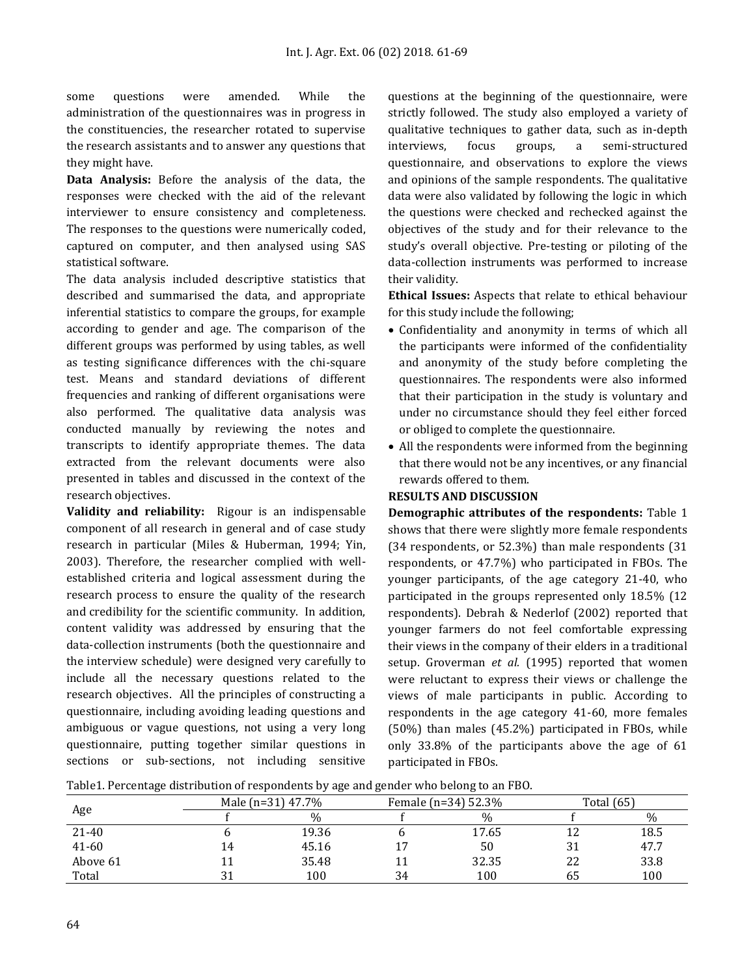some questions were amended. While the administration of the questionnaires was in progress in the constituencies, the researcher rotated to supervise the research assistants and to answer any questions that they might have.

**Data Analysis:** Before the analysis of the data, the responses were checked with the aid of the relevant interviewer to ensure consistency and completeness. The responses to the questions were numerically coded, captured on computer, and then analysed using SAS statistical software.

The data analysis included descriptive statistics that described and summarised the data, and appropriate inferential statistics to compare the groups, for example according to gender and age. The comparison of the different groups was performed by using tables, as well as testing significance differences with the chi-square test. Means and standard deviations of different frequencies and ranking of different organisations were also performed. The qualitative data analysis was conducted manually by reviewing the notes and transcripts to identify appropriate themes. The data extracted from the relevant documents were also presented in tables and discussed in the context of the research objectives.

**Validity and reliability:** Rigour is an indispensable component of all research in general and of case study research in particular (Miles & Huberman, 1994; Yin, 2003). Therefore, the researcher complied with wellestablished criteria and logical assessment during the research process to ensure the quality of the research and credibility for the scientific community. In addition, content validity was addressed by ensuring that the data-collection instruments (both the questionnaire and the interview schedule) were designed very carefully to include all the necessary questions related to the research objectives. All the principles of constructing a questionnaire, including avoiding leading questions and ambiguous or vague questions, not using a very long questionnaire, putting together similar questions in sections or sub-sections, not including sensitive

questions at the beginning of the questionnaire, were strictly followed. The study also employed a variety of qualitative techniques to gather data, such as in-depth interviews, focus groups, a semi-structured questionnaire, and observations to explore the views and opinions of the sample respondents. The qualitative data were also validated by following the logic in which the questions were checked and rechecked against the objectives of the study and for their relevance to the study's overall objective. Pre-testing or piloting of the data-collection instruments was performed to increase their validity.

**Ethical Issues:** Aspects that relate to ethical behaviour for this study include the following;

- Confidentiality and anonymity in terms of which all the participants were informed of the confidentiality and anonymity of the study before completing the questionnaires. The respondents were also informed that their participation in the study is voluntary and under no circumstance should they feel either forced or obliged to complete the questionnaire.
- All the respondents were informed from the beginning that there would not be any incentives, or any financial rewards offered to them.

### **RESULTS AND DISCUSSION**

**Demographic attributes of the respondents:** Table 1 shows that there were slightly more female respondents (34 respondents, or 52.3%) than male respondents (31 respondents, or 47.7%) who participated in FBOs. The younger participants, of the age category 21-40, who participated in the groups represented only 18.5% (12 respondents). Debrah & Nederlof (2002) reported that younger farmers do not feel comfortable expressing their views in the company of their elders in a traditional setup. Groverman *et al.* (1995) reported that women were reluctant to express their views or challenge the views of male participants in public. According to respondents in the age category 41-60, more females (50%) than males (45.2%) participated in FBOs, while only 33.8% of the participants above the age of 61 participated in FBOs.

| Table1. Percentage distribution of respondents by age and gender who belong to an FBO. |  |  |  |
|----------------------------------------------------------------------------------------|--|--|--|
|----------------------------------------------------------------------------------------|--|--|--|

| Age       | Male (n=31) 47.7% |    | Female (n=34) 52.3% |    | <b>Total</b> (65) |  |
|-----------|-------------------|----|---------------------|----|-------------------|--|
|           | $\%$              |    | $\frac{0}{0}$       |    | $\%$              |  |
| 21-40     | 19.36             |    | 17.65               |    | 18.5              |  |
| $41 - 60$ | 45.16             | 17 | 50                  | 31 | 47.7              |  |
| Above 61  | 35.48             | 11 | 32.35               | 22 | 33.8              |  |
| Total     | 100               | 34 | 100                 | 65 | 100               |  |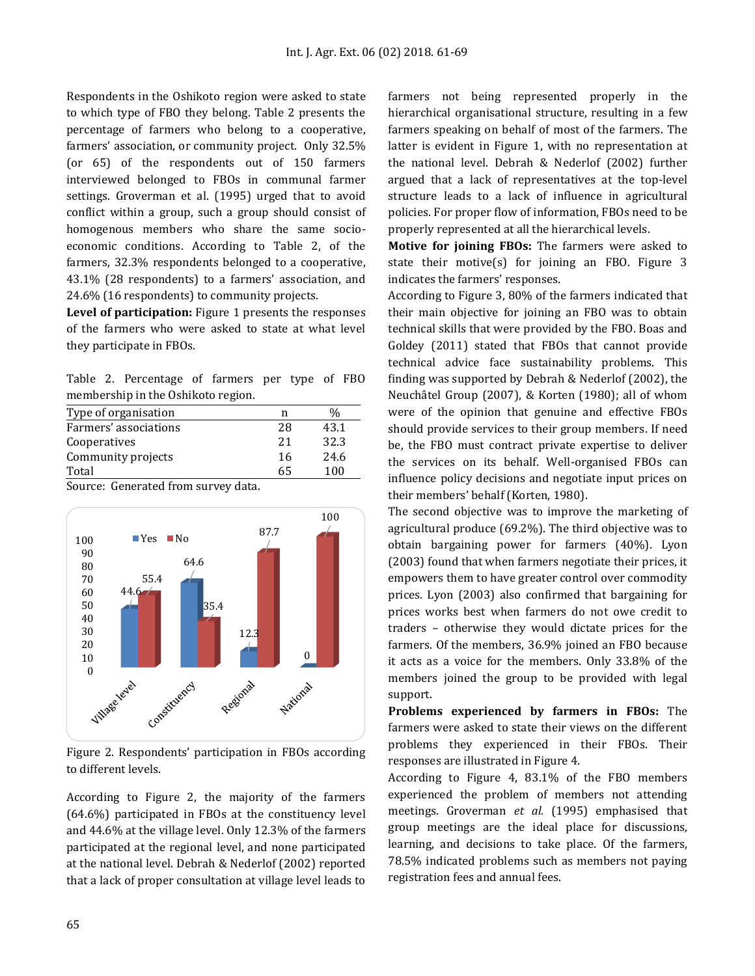Respondents in the Oshikoto region were asked to state to which type of FBO they belong. Table 2 presents the percentage of farmers who belong to a cooperative, farmers' association, or community project. Only 32.5% (or 65) of the respondents out of 150 farmers interviewed belonged to FBOs in communal farmer settings. Groverman et al. (1995) urged that to avoid conflict within a group, such a group should consist of homogenous members who share the same socioeconomic conditions. According to Table 2, of the farmers, 32.3% respondents belonged to a cooperative, 43.1% (28 respondents) to a farmers' association, and 24.6% (16 respondents) to community projects.

**Level of participation:** Figure 1 presents the responses of the farmers who were asked to state at what level they participate in FBOs.

Table 2. Percentage of farmers per type of FBO membership in the Oshikoto region.

| Type of organisation               | n  | ‰    |
|------------------------------------|----|------|
| Farmers' associations              | 28 | 43.1 |
| Cooperatives                       | 21 | 32.3 |
| Community projects                 | 16 | 24.6 |
| Total                              | 65 | 100  |
| Source: Generated from survey data |    |      |

Source: Generated from survey data.



Figure 2. Respondents' participation in FBOs according to different levels.

According to Figure 2, the majority of the farmers (64.6%) participated in FBOs at the constituency level and 44.6% at the village level. Only 12.3% of the farmers participated at the regional level, and none participated at the national level. Debrah & Nederlof (2002) reported that a lack of proper consultation at village level leads to farmers not being represented properly in the hierarchical organisational structure, resulting in a few farmers speaking on behalf of most of the farmers. The latter is evident in Figure 1, with no representation at the national level. Debrah & Nederlof (2002) further argued that a lack of representatives at the top-level structure leads to a lack of influence in agricultural policies. For proper flow of information, FBOs need to be properly represented at all the hierarchical levels.

**Motive for joining FBOs:** The farmers were asked to state their motive(s) for joining an FBO. Figure 3 indicates the farmers' responses.

According to Figure 3, 80% of the farmers indicated that their main objective for joining an FBO was to obtain technical skills that were provided by the FBO. Boas and Goldey (2011) stated that FBOs that cannot provide technical advice face sustainability problems. This finding was supported by Debrah & Nederlof (2002), the Neuchâtel Group (2007), & Korten (1980); all of whom were of the opinion that genuine and effective FBOs should provide services to their group members. If need be, the FBO must contract private expertise to deliver the services on its behalf. Well-organised FBOs can influence policy decisions and negotiate input prices on their members' behalf (Korten, 1980).

The second objective was to improve the marketing of agricultural produce (69.2%). The third objective was to obtain bargaining power for farmers (40%). Lyon (2003) found that when farmers negotiate their prices, it empowers them to have greater control over commodity prices. Lyon (2003) also confirmed that bargaining for prices works best when farmers do not owe credit to traders – otherwise they would dictate prices for the farmers. Of the members, 36.9% joined an FBO because it acts as a voice for the members. Only 33.8% of the members joined the group to be provided with legal support.

**Problems experienced by farmers in FBOs:** The farmers were asked to state their views on the different problems they experienced in their FBOs. Their responses are illustrated in Figure 4.

According to Figure 4, 83.1% of the FBO members experienced the problem of members not attending meetings. Groverman *et al.* (1995) emphasised that group meetings are the ideal place for discussions, learning, and decisions to take place. Of the farmers, 78.5% indicated problems such as members not paying registration fees and annual fees.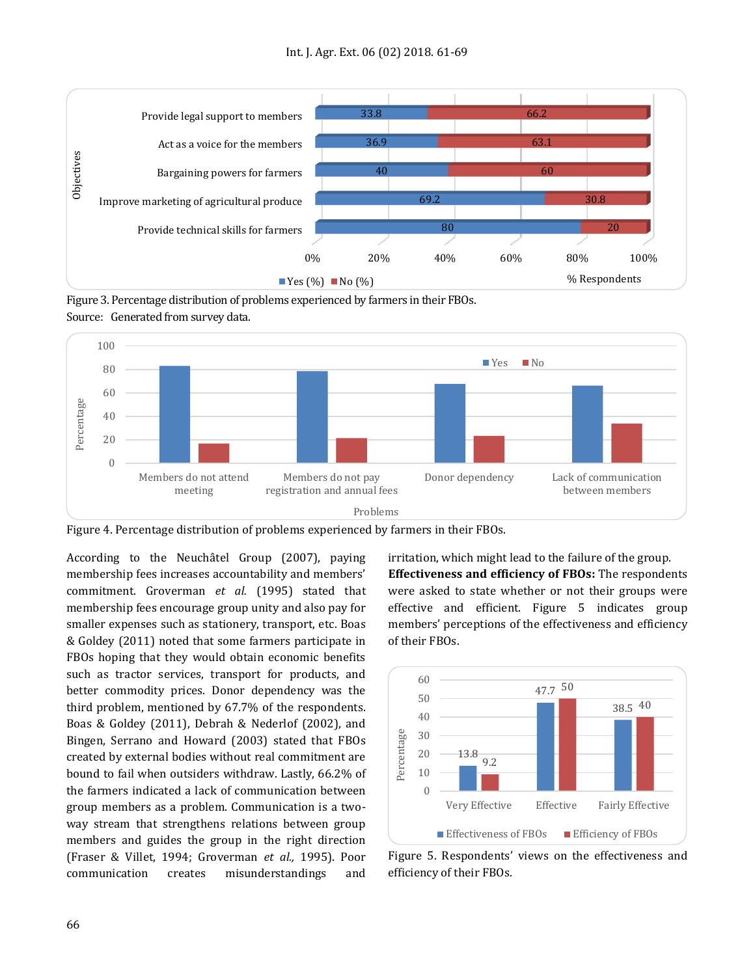

Figure 3. Percentage distribution of problems experienced by farmers in their FBOs. Source: Generated from survey data.



Figure 4. Percentage distribution of problems experienced by farmers in their FBOs.

According to the Neuchâtel Group (2007), paying membership fees increases accountability and members' commitment. Groverman *et al.* (1995) stated that membership fees encourage group unity and also pay for smaller expenses such as stationery, transport, etc. Boas & Goldey (2011) noted that some farmers participate in FBOs hoping that they would obtain economic benefits such as tractor services, transport for products, and better commodity prices. Donor dependency was the third problem, mentioned by 67.7% of the respondents. Boas & Goldey (2011), Debrah & Nederlof (2002), and Bingen, Serrano and Howard (2003) stated that FBOs created by external bodies without real commitment are bound to fail when outsiders withdraw. Lastly, 66.2% of the farmers indicated a lack of communication between group members as a problem. Communication is a twoway stream that strengthens relations between group members and guides the group in the right direction (Fraser & Villet, 1994; Groverman *et al.,* 1995). Poor communication creates misunderstandings and irritation, which might lead to the failure of the group. **Effectiveness and efficiency of FBOs:** The respondents were asked to state whether or not their groups were effective and efficient. Figure 5 indicates group members' perceptions of the effectiveness and efficiency of their FBOs.



Figure 5. Respondents' views on the effectiveness and efficiency of their FBOs.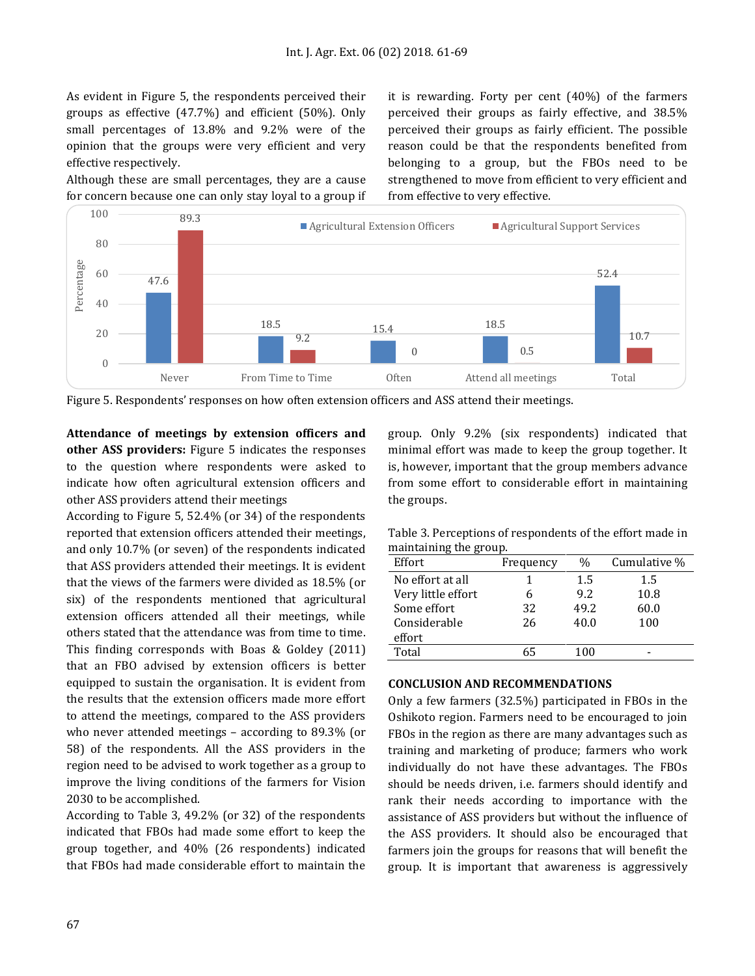As evident in Figure 5, the respondents perceived their groups as effective (47.7%) and efficient (50%). Only small percentages of 13.8% and 9.2% were of the opinion that the groups were very efficient and very effective respectively.

Although these are small percentages, they are a cause for concern because one can only stay loyal to a group if it is rewarding. Forty per cent (40%) of the farmers perceived their groups as fairly effective, and 38.5% perceived their groups as fairly efficient. The possible reason could be that the respondents benefited from belonging to a group, but the FBOs need to be strengthened to move from efficient to very efficient and from effective to very effective.



Figure 5. Respondents' responses on how often extension officers and ASS attend their meetings.

**Attendance of meetings by extension officers and other ASS providers:** Figure 5 indicates the responses to the question where respondents were asked to indicate how often agricultural extension officers and other ASS providers attend their meetings

According to Figure 5, 52.4% (or 34) of the respondents reported that extension officers attended their meetings, and only 10.7% (or seven) of the respondents indicated that ASS providers attended their meetings. It is evident that the views of the farmers were divided as 18.5% (or six) of the respondents mentioned that agricultural extension officers attended all their meetings, while others stated that the attendance was from time to time. This finding corresponds with Boas & Goldey (2011) that an FBO advised by extension officers is better equipped to sustain the organisation. It is evident from the results that the extension officers made more effort to attend the meetings, compared to the ASS providers who never attended meetings – according to 89.3% (or 58) of the respondents. All the ASS providers in the region need to be advised to work together as a group to improve the living conditions of the farmers for Vision 2030 to be accomplished.

According to Table 3, 49.2% (or 32) of the respondents indicated that FBOs had made some effort to keep the group together, and 40% (26 respondents) indicated that FBOs had made considerable effort to maintain the group. Only 9.2% (six respondents) indicated that minimal effort was made to keep the group together. It is, however, important that the group members advance from some effort to considerable effort in maintaining the groups.

Table 3. Perceptions of respondents of the effort made in maintaining the group.

| Effort             | Frequency | $\frac{0}{0}$ | Cumulative % |
|--------------------|-----------|---------------|--------------|
| No effort at all   |           | 1.5           | 1.5          |
| Very little effort | 6         | 9.2           | 10.8         |
| Some effort        | 32        | 49.2          | 60.0         |
| Considerable       | 26        | 40.0          | 100          |
| effort             |           |               |              |
| Total              | 65        | 100           |              |

## **CONCLUSION AND RECOMMENDATIONS**

Only a few farmers (32.5%) participated in FBOs in the Oshikoto region. Farmers need to be encouraged to join FBOs in the region as there are many advantages such as training and marketing of produce; farmers who work individually do not have these advantages. The FBOs should be needs driven, i.e. farmers should identify and rank their needs according to importance with the assistance of ASS providers but without the influence of the ASS providers. It should also be encouraged that farmers join the groups for reasons that will benefit the group. It is important that awareness is aggressively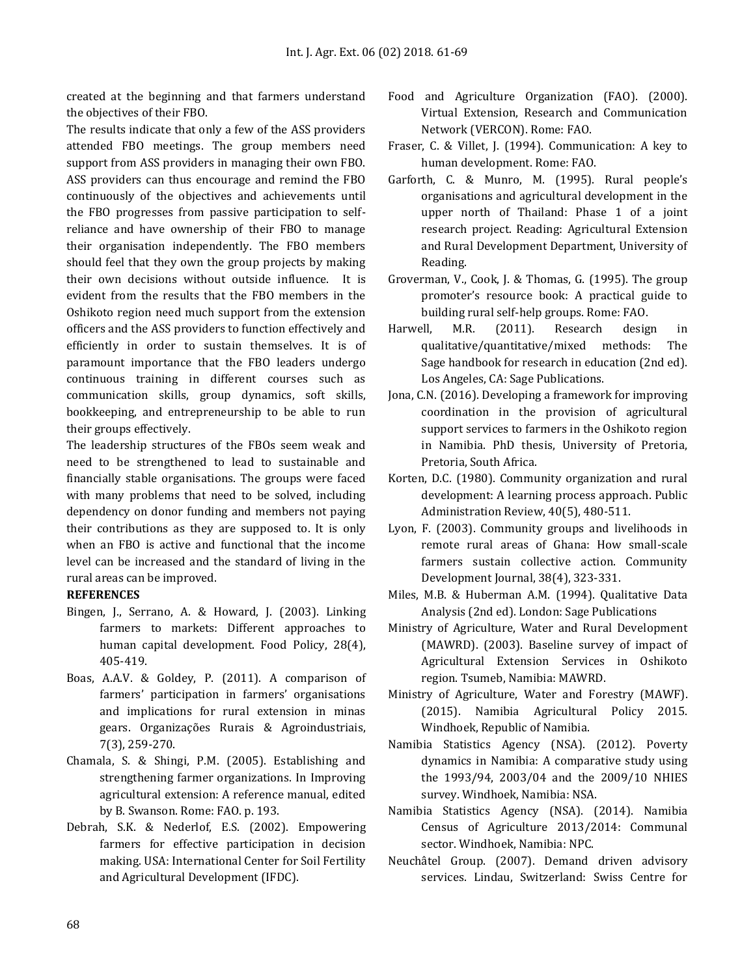created at the beginning and that farmers understand the objectives of their FBO.

The results indicate that only a few of the ASS providers attended FBO meetings. The group members need support from ASS providers in managing their own FBO. ASS providers can thus encourage and remind the FBO continuously of the objectives and achievements until the FBO progresses from passive participation to selfreliance and have ownership of their FBO to manage their organisation independently. The FBO members should feel that they own the group projects by making their own decisions without outside influence. It is evident from the results that the FBO members in the Oshikoto region need much support from the extension officers and the ASS providers to function effectively and efficiently in order to sustain themselves. It is of paramount importance that the FBO leaders undergo continuous training in different courses such as communication skills, group dynamics, soft skills, bookkeeping, and entrepreneurship to be able to run their groups effectively.

The leadership structures of the FBOs seem weak and need to be strengthened to lead to sustainable and financially stable organisations. The groups were faced with many problems that need to be solved, including dependency on donor funding and members not paying their contributions as they are supposed to. It is only when an FBO is active and functional that the income level can be increased and the standard of living in the rural areas can be improved.

# **REFERENCES**

- Bingen, J., Serrano, A. & Howard, J. (2003). Linking farmers to markets: Different approaches to human capital development. Food Policy, 28(4), 405-419.
- Boas, A.A.V. & Goldey, P. (2011). A comparison of farmers' participation in farmers' organisations and implications for rural extension in minas gears. Organizações Rurais & Agroindustriais, 7(3), 259-270.
- Chamala, S. & Shingi, P.M. (2005). Establishing and strengthening farmer organizations. In Improving agricultural extension: A reference manual, edited by B. Swanson. Rome: FAO. p. 193.
- Debrah, S.K. & Nederlof, E.S. (2002). Empowering farmers for effective participation in decision making. USA: International Center for Soil Fertility and Agricultural Development (IFDC).
- Food and Agriculture Organization (FAO). (2000). Virtual Extension, Research and Communication Network (VERCON). Rome: FAO.
- Fraser, C. & Villet, J. (1994). Communication: A key to human development. Rome: FAO.
- Garforth, C. & Munro, M. (1995). Rural people's organisations and agricultural development in the upper north of Thailand: Phase 1 of a joint research project. Reading: Agricultural Extension and Rural Development Department, University of Reading.
- Groverman, V., Cook, J. & Thomas, G. (1995). The group promoter's resource book: A practical guide to building rural self-help groups. Rome: FAO.
- Harwell, M.R. (2011). Research design in qualitative/quantitative/mixed methods: The Sage handbook for research in education (2nd ed). Los Angeles, CA: Sage Publications.
- Jona, C.N. (2016). Developing a framework for improving coordination in the provision of agricultural support services to farmers in the Oshikoto region in Namibia. PhD thesis, University of Pretoria, Pretoria, South Africa.
- Korten, D.C. (1980). Community organization and rural development: A learning process approach. Public Administration Review, 40(5), 480-511.
- Lyon, F. (2003). Community groups and livelihoods in remote rural areas of Ghana: How small‐scale farmers sustain collective action. Community Development Journal, 38(4), 323-331.
- Miles, M.B. & Huberman A.M. (1994). Qualitative Data Analysis (2nd ed). London: Sage Publications
- Ministry of Agriculture, Water and Rural Development (MAWRD). (2003). Baseline survey of impact of Agricultural Extension Services in Oshikoto region. Tsumeb, Namibia: MAWRD.
- Ministry of Agriculture, Water and Forestry (MAWF). (2015). Namibia Agricultural Policy 2015. Windhoek, Republic of Namibia.
- Namibia Statistics Agency (NSA). (2012). Poverty dynamics in Namibia: A comparative study using the 1993/94, 2003/04 and the 2009/10 NHIES survey. Windhoek, Namibia: NSA.
- Namibia Statistics Agency (NSA). (2014). Namibia Census of Agriculture 2013/2014: Communal sector. Windhoek, Namibia: NPC.
- Neuchâtel Group. (2007). Demand driven advisory services. Lindau, Switzerland: Swiss Centre for